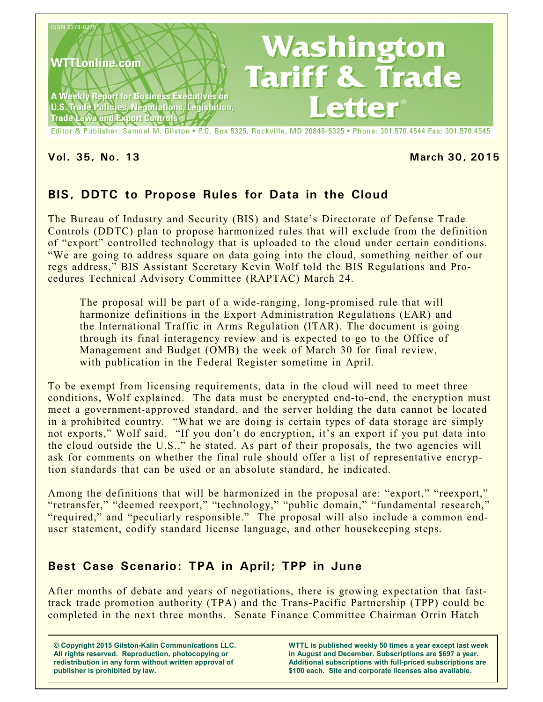

**Vol. 35, No. 13 March 30, 2015**

# **BIS, DDTC to Propose Rules for Data in the Cloud**

The Bureau of Industry and Security (BIS) and State's Directorate of Defense Trade Controls (DDTC) plan to propose harmonized rules that will exclude from the definition of "export" controlled technology that is uploaded to the cloud under certain conditions. "We are going to address square on data going into the cloud, something neither of our regs address," BIS Assistant Secretary Kevin Wolf told the BIS Regulations and Procedures Technical Advisory Committee (RAPTAC) March 24.

The proposal will be part of a wide-ranging, long-promised rule that will harmonize definitions in the Export Administration Regulations (EAR) and the International Traffic in Arms Regulation (ITAR). The document is going through its final interagency review and is expected to go to the Office of Management and Budget (OMB) the week of March 30 for final review, with publication in the Federal Register sometime in April.

To be exempt from licensing requirements, data in the cloud will need to meet three conditions, Wolf explained. The data must be encrypted end-to-end, the encryption must meet a government-approved standard, and the server holding the data cannot be located in a prohibited country. "What we are doing is certain types of data storage are simply not exports," Wolf said. "If you don't do encryption, it's an export if you put data into the cloud outside the U.S.," he stated. As part of their proposals, the two agencies will ask for comments on whether the final rule should offer a list of representative encryption standards that can be used or an absolute standard, he indicated.

Among the definitions that will be harmonized in the proposal are: "export," "reexport," "retransfer," "deemed reexport," "technology," "public domain," "fundamental research," "required," and "peculiarly responsible." The proposal will also include a common enduser statement, codify standard license language, and other housekeeping steps.

# **Best Case Scenario: TPA in April; TPP in June**

After months of debate and years of negotiations, there is growing expectation that fasttrack trade promotion authority (TPA) and the Trans-Pacific Partnership (TPP) could be completed in the next three months. Senate Finance Committee Chairman Orrin Hatch

**© Copyright 2015 Gilston-Kalin Communications LLC. All rights reserved. Reproduction, photocopying or redistribution in any form without written approval of publisher is prohibited by law.** 

**WTTL is published weekly 50 times a year except last week in August and December. Subscriptions are \$697 a year. Additional subscriptions with full-priced subscriptions are \$100 each. Site and corporate licenses also available.**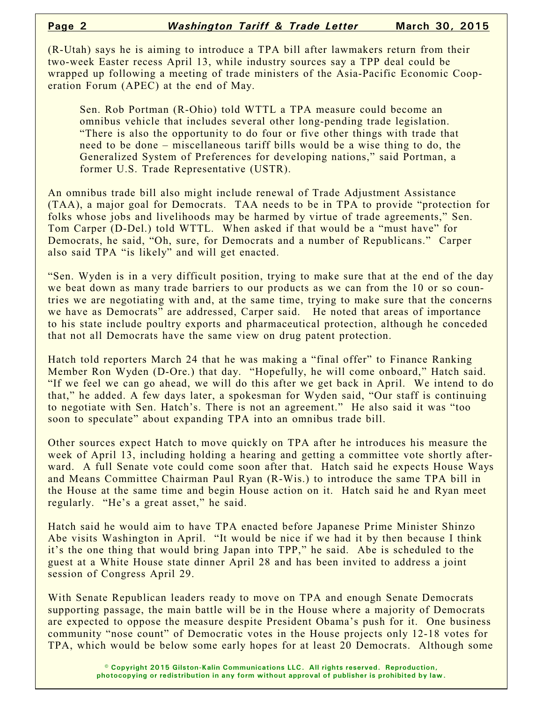(R-Utah) says he is aiming to introduce a TPA bill after lawmakers return from their two-week Easter recess April 13, while industry sources say a TPP deal could be wrapped up following a meeting of trade ministers of the Asia-Pacific Economic Cooperation Forum (APEC) at the end of May.

Sen. Rob Portman (R-Ohio) told WTTL a TPA measure could become an omnibus vehicle that includes several other long-pending trade legislation. "There is also the opportunity to do four or five other things with trade that need to be done – miscellaneous tariff bills would be a wise thing to do, the Generalized System of Preferences for developing nations," said Portman, a former U.S. Trade Representative (USTR).

An omnibus trade bill also might include renewal of Trade Adjustment Assistance (TAA), a major goal for Democrats. TAA needs to be in TPA to provide "protection for folks whose jobs and livelihoods may be harmed by virtue of trade agreements," Sen. Tom Carper (D-Del.) told WTTL. When asked if that would be a "must have" for Democrats, he said, "Oh, sure, for Democrats and a number of Republicans." Carper also said TPA "is likely" and will get enacted.

"Sen. Wyden is in a very difficult position, trying to make sure that at the end of the day we beat down as many trade barriers to our products as we can from the 10 or so countries we are negotiating with and, at the same time, trying to make sure that the concerns we have as Democrats" are addressed, Carper said. He noted that areas of importance to his state include poultry exports and pharmaceutical protection, although he conceded that not all Democrats have the same view on drug patent protection.

Hatch told reporters March 24 that he was making a "final offer" to Finance Ranking Member Ron Wyden (D-Ore.) that day. "Hopefully, he will come onboard," Hatch said. "If we feel we can go ahead, we will do this after we get back in April. We intend to do that," he added. A few days later, a spokesman for Wyden said, "Our staff is continuing to negotiate with Sen. Hatch's. There is not an agreement." He also said it was "too soon to speculate" about expanding TPA into an omnibus trade bill.

Other sources expect Hatch to move quickly on TPA after he introduces his measure the week of April 13, including holding a hearing and getting a committee vote shortly afterward. A full Senate vote could come soon after that. Hatch said he expects House Ways and Means Committee Chairman Paul Ryan (R-Wis.) to introduce the same TPA bill in the House at the same time and begin House action on it. Hatch said he and Ryan meet regularly. "He's a great asset," he said.

Hatch said he would aim to have TPA enacted before Japanese Prime Minister Shinzo Abe visits Washington in April. "It would be nice if we had it by then because I think it's the one thing that would bring Japan into TPP," he said. Abe is scheduled to the guest at a White House state dinner April 28 and has been invited to address a joint session of Congress April 29.

With Senate Republican leaders ready to move on TPA and enough Senate Democrats supporting passage, the main battle will be in the House where a majority of Democrats are expected to oppose the measure despite President Obama's push for it. One business community "nose count" of Democratic votes in the House projects only 12-18 votes for TPA, which would be below some early hopes for at least 20 Democrats. Although some

> **© Copyright 2015 Gilston-Kalin Communications LLC. All rights reserved. Reproduction, photocopying or redistribution in any form without approval of publisher is prohibited by law.**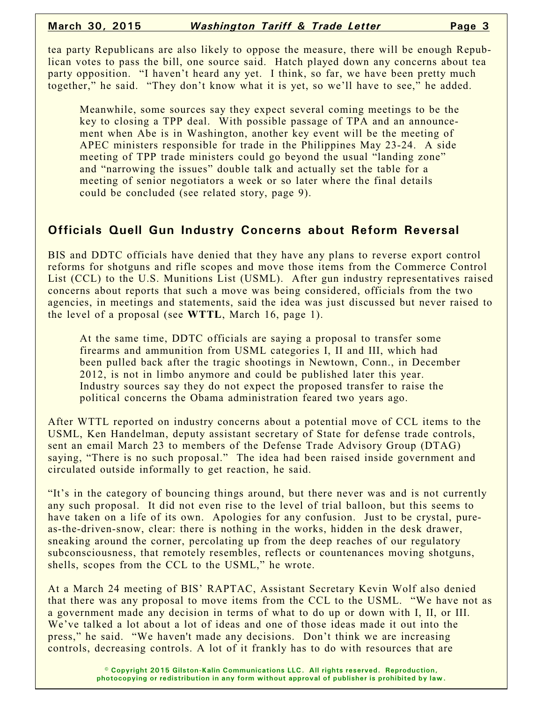tea party Republicans are also likely to oppose the measure, there will be enough Republican votes to pass the bill, one source said. Hatch played down any concerns about tea party opposition. "I haven't heard any yet. I think, so far, we have been pretty much together," he said. "They don't know what it is yet, so we'll have to see," he added.

Meanwhile, some sources say they expect several coming meetings to be the key to closing a TPP deal. With possible passage of TPA and an announcement when Abe is in Washington, another key event will be the meeting of APEC ministers responsible for trade in the Philippines May 23-24. A side meeting of TPP trade ministers could go beyond the usual "landing zone" and "narrowing the issues" double talk and actually set the table for a meeting of senior negotiators a week or so later where the final details could be concluded (see related story, page 9).

### **Officials Quell Gun Industry Concerns about Reform Reversal**

BIS and DDTC officials have denied that they have any plans to reverse export control reforms for shotguns and rifle scopes and move those items from the Commerce Control List (CCL) to the U.S. Munitions List (USML). After gun industry representatives raised concerns about reports that such a move was being considered, officials from the two agencies, in meetings and statements, said the idea was just discussed but never raised to the level of a proposal (see **WTTL**, March 16, page 1).

At the same time, DDTC officials are saying a proposal to transfer some firearms and ammunition from USML categories I, II and III, which had been pulled back after the tragic shootings in Newtown, Conn., in December 2012, is not in limbo anymore and could be published later this year. Industry sources say they do not expect the proposed transfer to raise the political concerns the Obama administration feared two years ago.

After WTTL reported on industry concerns about a potential move of CCL items to the USML, Ken Handelman, deputy assistant secretary of State for defense trade controls, sent an email March 23 to members of the Defense Trade Advisory Group (DTAG) saying, "There is no such proposal." The idea had been raised inside government and circulated outside informally to get reaction, he said.

"It's in the category of bouncing things around, but there never was and is not currently any such proposal. It did not even rise to the level of trial balloon, but this seems to have taken on a life of its own. Apologies for any confusion. Just to be crystal, pureas-the-driven-snow, clear: there is nothing in the works, hidden in the desk drawer, sneaking around the corner, percolating up from the deep reaches of our regulatory subconsciousness, that remotely resembles, reflects or countenances moving shotguns, shells, scopes from the CCL to the USML," he wrote.

At a March 24 meeting of BIS' RAPTAC, Assistant Secretary Kevin Wolf also denied that there was any proposal to move items from the CCL to the USML. "We have not as a government made any decision in terms of what to do up or down with I, II, or III. We've talked a lot about a lot of ideas and one of those ideas made it out into the press," he said. "We haven't made any decisions. Don't think we are increasing controls, decreasing controls. A lot of it frankly has to do with resources that are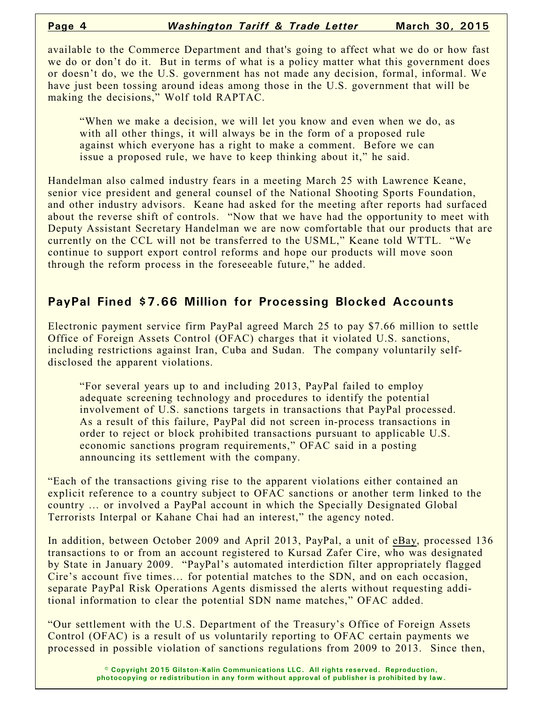available to the Commerce Department and that's going to affect what we do or how fast we do or don't do it. But in terms of what is a policy matter what this government does or doesn't do, we the U.S. government has not made any decision, formal, informal. We have just been tossing around ideas among those in the U.S. government that will be making the decisions," Wolf told RAPTAC.

"When we make a decision, we will let you know and even when we do, as with all other things, it will always be in the form of a proposed rule against which everyone has a right to make a comment. Before we can issue a proposed rule, we have to keep thinking about it," he said.

Handelman also calmed industry fears in a meeting March 25 with Lawrence Keane, senior vice president and general counsel of the National Shooting Sports Foundation, and other industry advisors. Keane had asked for the meeting after reports had surfaced about the reverse shift of controls. "Now that we have had the opportunity to meet with Deputy Assistant Secretary Handelman we are now comfortable that our products that are currently on the CCL will not be transferred to the USML," Keane told WTTL. "We continue to support export control reforms and hope our products will move soon through the reform process in the foreseeable future," he added.

#### **PayPal Fined \$7.66 Million for Processing Blocked Accounts**

Electronic payment service firm PayPal agreed March 25 to pay \$7.66 million to settle Office of Foreign Assets Control (OFAC) charges that it violated U.S. sanctions, including restrictions against Iran, Cuba and Sudan. The company voluntarily selfdisclosed the apparent violations.

"For several years up to and including 2013, PayPal failed to employ adequate screening technology and procedures to identify the potential involvement of U.S. sanctions targets in transactions that PayPal processed. As a result of this failure, PayPal did not screen in-process transactions in order to reject or block prohibited transactions pursuant to applicable U.S. economic sanctions program requirements," OFAC said in a posting announcing its settlement with the company.

"Each of the transactions giving rise to the apparent violations either contained an explicit reference to a country subject to OFAC sanctions or another term linked to the country … or involved a PayPal account in which the Specially Designated Global Terrorists Interpal or Kahane Chai had an interest," the agency noted.

In addition, between October 2009 and April 2013, PayPal, a unit of eBay, processed 136 transactions to or from an account registered to Kursad Zafer Cire, who was designated by State in January 2009. "PayPal's automated interdiction filter appropriately flagged Cire's account five times… for potential matches to the SDN, and on each occasion, separate PayPal Risk Operations Agents dismissed the alerts without requesting additional information to clear the potential SDN name matches," OFAC added.

"Our settlement with the U.S. Department of the Treasury's Office of Foreign Assets Control (OFAC) is a result of us voluntarily reporting to OFAC certain payments we processed in possible violation of sanctions regulations from 2009 to 2013. Since then,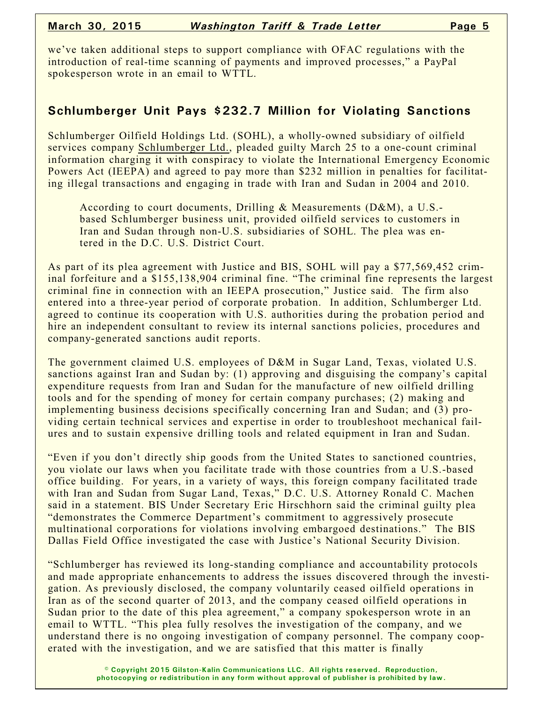we've taken additional steps to support compliance with OFAC regulations with the introduction of real-time scanning of payments and improved processes," a PayPal spokesperson wrote in an email to WTTL.

#### **Schlumberger Unit Pays \$232.7 Million for Violating Sanctions**

Schlumberger Oilfield Holdings Ltd. (SOHL), a wholly-owned subsidiary of oilfield services company Schlumberger Ltd., pleaded guilty March 25 to a one-count criminal information charging it with conspiracy to violate the International Emergency Economic Powers Act (IEEPA) and agreed to pay more than \$232 million in penalties for facilitating illegal transactions and engaging in trade with Iran and Sudan in 2004 and 2010.

According to court documents, Drilling & Measurements (D&M), a U.S. based Schlumberger business unit, provided oilfield services to customers in Iran and Sudan through non-U.S. subsidiaries of SOHL. The plea was entered in the D.C. U.S. District Court.

As part of its plea agreement with Justice and BIS, SOHL will pay a \$77,569,452 criminal forfeiture and a \$155,138,904 criminal fine. "The criminal fine represents the largest criminal fine in connection with an IEEPA prosecution," Justice said. The firm also entered into a three-year period of corporate probation. In addition, Schlumberger Ltd. agreed to continue its cooperation with U.S. authorities during the probation period and hire an independent consultant to review its internal sanctions policies, procedures and company-generated sanctions audit reports.

The government claimed U.S. employees of D&M in Sugar Land, Texas, violated U.S. sanctions against Iran and Sudan by: (1) approving and disguising the company's capital expenditure requests from Iran and Sudan for the manufacture of new oilfield drilling tools and for the spending of money for certain company purchases; (2) making and implementing business decisions specifically concerning Iran and Sudan; and (3) providing certain technical services and expertise in order to troubleshoot mechanical failures and to sustain expensive drilling tools and related equipment in Iran and Sudan.

"Even if you don't directly ship goods from the United States to sanctioned countries, you violate our laws when you facilitate trade with those countries from a U.S.-based office building. For years, in a variety of ways, this foreign company facilitated trade with Iran and Sudan from Sugar Land, Texas," D.C. U.S. Attorney Ronald C. Machen said in a statement. BIS Under Secretary Eric Hirschhorn said the criminal guilty plea "demonstrates the Commerce Department's commitment to aggressively prosecute multinational corporations for violations involving embargoed destinations." The BIS Dallas Field Office investigated the case with Justice's National Security Division.

"Schlumberger has reviewed its long-standing compliance and accountability protocols and made appropriate enhancements to address the issues discovered through the investigation. As previously disclosed, the company voluntarily ceased oilfield operations in Iran as of the second quarter of 2013, and the company ceased oilfield operations in Sudan prior to the date of this plea agreement," a company spokesperson wrote in an email to WTTL. "This plea fully resolves the investigation of the company, and we understand there is no ongoing investigation of company personnel. The company cooperated with the investigation, and we are satisfied that this matter is finally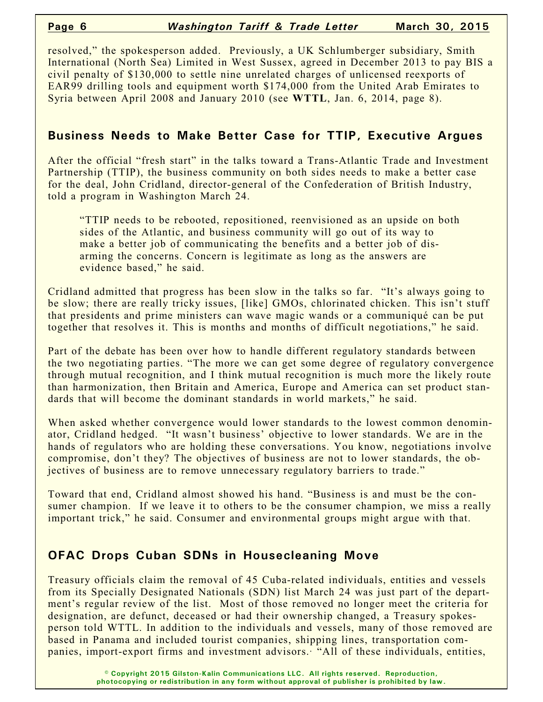#### **Page 6** *Washington Tariff & Trade Letter* **March 30, 2015**

resolved," the spokesperson added. Previously, a UK Schlumberger subsidiary, Smith International (North Sea) Limited in West Sussex, agreed in December 2013 to pay BIS a civil penalty of \$130,000 to settle nine unrelated charges of unlicensed reexports of EAR99 drilling tools and equipment worth \$174,000 from the United Arab Emirates to Syria between April 2008 and January 2010 (see **WTTL**, Jan. 6, 2014, page 8).

## **Business Needs to Make Better Case for TTIP, Executive Argues**

After the official "fresh start" in the talks toward a Trans-Atlantic Trade and Investment Partnership (TTIP), the business community on both sides needs to make a better case for the deal, John Cridland, director-general of the Confederation of British Industry, told a program in Washington March 24.

"TTIP needs to be rebooted, repositioned, reenvisioned as an upside on both sides of the Atlantic, and business community will go out of its way to make a better job of communicating the benefits and a better job of disarming the concerns. Concern is legitimate as long as the answers are evidence based," he said.

Cridland admitted that progress has been slow in the talks so far. "It's always going to be slow; there are really tricky issues, [like] GMOs, chlorinated chicken. This isn't stuff that presidents and prime ministers can wave magic wands or a communiqué can be put together that resolves it. This is months and months of difficult negotiations," he said.

Part of the debate has been over how to handle different regulatory standards between the two negotiating parties. "The more we can get some degree of regulatory convergence through mutual recognition, and I think mutual recognition is much more the likely route than harmonization, then Britain and America, Europe and America can set product standards that will become the dominant standards in world markets," he said.

When asked whether convergence would lower standards to the lowest common denominator, Cridland hedged. "It wasn't business' objective to lower standards. We are in the hands of regulators who are holding these conversations. You know, negotiations involve compromise, don't they? The objectives of business are not to lower standards, the objectives of business are to remove unnecessary regulatory barriers to trade."

Toward that end, Cridland almost showed his hand. "Business is and must be the consumer champion. If we leave it to others to be the consumer champion, we miss a really important trick," he said. Consumer and environmental groups might argue with that.

# **OFAC Drops Cuban SDNs in Housecleaning Move**

Treasury officials claim the removal of 45 Cuba-related individuals, entities and vessels from its Specially Designated Nationals (SDN) list March 24 was just part of the department's regular review of the list. Most of those removed no longer meet the criteria for designation, are defunct, deceased or had their ownership changed, a Treasury spokesperson told WTTL. In addition to the individuals and vessels, many of those removed are based in Panama and included tourist companies, shipping lines, transportation companies, import-export firms and investment advisors. "All of these individuals, entities,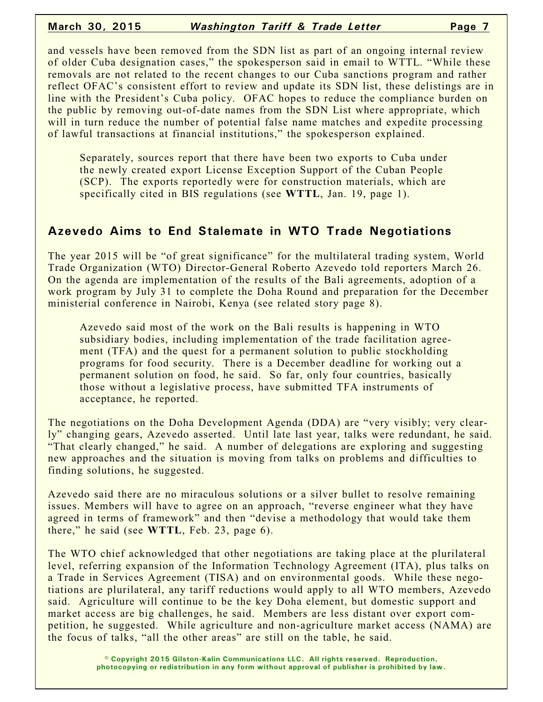and vessels have been removed from the SDN list as part of an ongoing internal review of older Cuba designation cases," the spokesperson said in email to WTTL. "While these removals are not related to the recent changes to our Cuba sanctions program and rather reflect OFAC's consistent effort to review and update its SDN list, these delistings are in line with the President's Cuba policy. OFAC hopes to reduce the compliance burden on the public by removing out-of-date names from the SDN List where appropriate, which will in turn reduce the number of potential false name matches and expedite processing of lawful transactions at financial institutions," the spokesperson explained.

Separately, sources report that there have been two exports to Cuba under the newly created export License Exception Support of the Cuban People (SCP). The exports reportedly were for construction materials, which are specifically cited in BIS regulations (see **WTTL**, Jan. 19, page 1).

#### **Azevedo Aims to End Stalemate in WTO Trade Negotiations**

The year 2015 will be "of great significance" for the multilateral trading system, World Trade Organization (WTO) Director-General Roberto Azevedo told reporters March 26. On the agenda are implementation of the results of the Bali agreements, adoption of a work program by July 31 to complete the Doha Round and preparation for the December ministerial conference in Nairobi, Kenya (see related story page 8).

Azevedo said most of the work on the Bali results is happening in WTO subsidiary bodies, including implementation of the trade facilitation agreement (TFA) and the quest for a permanent solution to public stockholding programs for food security. There is a December deadline for working out a permanent solution on food, he said. So far, only four countries, basically those without a legislative process, have submitted TFA instruments of acceptance, he reported.

The negotiations on the Doha Development Agenda (DDA) are "very visibly; very clearly" changing gears, Azevedo asserted. Until late last year, talks were redundant, he said. "That clearly changed," he said. A number of delegations are exploring and suggesting new approaches and the situation is moving from talks on problems and difficulties to finding solutions, he suggested.

Azevedo said there are no miraculous solutions or a silver bullet to resolve remaining issues. Members will have to agree on an approach, "reverse engineer what they have agreed in terms of framework" and then "devise a methodology that would take them there," he said (see **WTTL**, Feb. 23, page 6).

The WTO chief acknowledged that other negotiations are taking place at the plurilateral level, referring expansion of the Information Technology Agreement (ITA), plus talks on a Trade in Services Agreement (TISA) and on environmental goods. While these negotiations are plurilateral, any tariff reductions would apply to all WTO members, Azevedo said. Agriculture will continue to be the key Doha element, but domestic support and market access are big challenges, he said. Members are less distant over export competition, he suggested. While agriculture and non-agriculture market access (NAMA) are the focus of talks, "all the other areas" are still on the table, he said.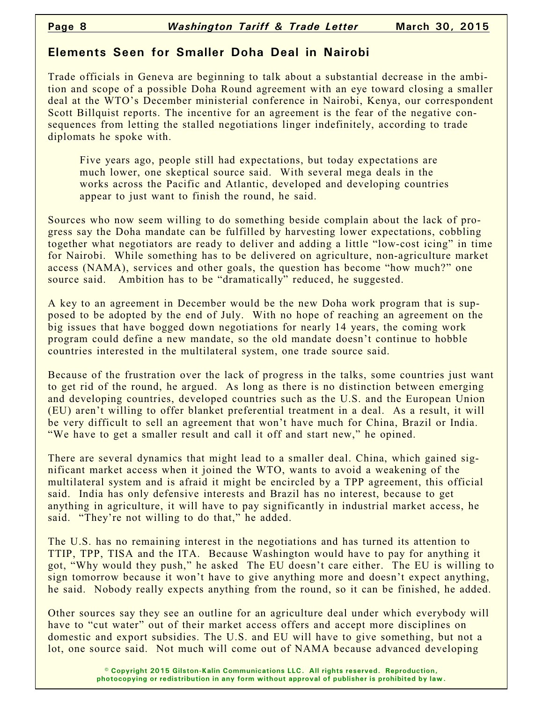## **Elements Seen for Smaller Doha Deal in Nairobi**

Trade officials in Geneva are beginning to talk about a substantial decrease in the ambition and scope of a possible Doha Round agreement with an eye toward closing a smaller deal at the WTO's December ministerial conference in Nairobi, Kenya, our correspondent Scott Billquist reports. The incentive for an agreement is the fear of the negative consequences from letting the stalled negotiations linger indefinitely, according to trade diplomats he spoke with.

Five years ago, people still had expectations, but today expectations are much lower, one skeptical source said. With several mega deals in the works across the Pacific and Atlantic, developed and developing countries appear to just want to finish the round, he said.

Sources who now seem willing to do something beside complain about the lack of progress say the Doha mandate can be fulfilled by harvesting lower expectations, cobbling together what negotiators are ready to deliver and adding a little "low-cost icing" in time for Nairobi. While something has to be delivered on agriculture, non-agriculture market access (NAMA), services and other goals, the question has become "how much?" one source said. Ambition has to be "dramatically" reduced, he suggested.

A key to an agreement in December would be the new Doha work program that is supposed to be adopted by the end of July. With no hope of reaching an agreement on the big issues that have bogged down negotiations for nearly 14 years, the coming work program could define a new mandate, so the old mandate doesn't continue to hobble countries interested in the multilateral system, one trade source said.

Because of the frustration over the lack of progress in the talks, some countries just want to get rid of the round, he argued. As long as there is no distinction between emerging and developing countries, developed countries such as the U.S. and the European Union (EU) aren't willing to offer blanket preferential treatment in a deal. As a result, it will be very difficult to sell an agreement that won't have much for China, Brazil or India. "We have to get a smaller result and call it off and start new," he opined.

There are several dynamics that might lead to a smaller deal. China, which gained significant market access when it joined the WTO, wants to avoid a weakening of the multilateral system and is afraid it might be encircled by a TPP agreement, this official said. India has only defensive interests and Brazil has no interest, because to get anything in agriculture, it will have to pay significantly in industrial market access, he said. "They're not willing to do that," he added.

The U.S. has no remaining interest in the negotiations and has turned its attention to TTIP, TPP, TISA and the ITA. Because Washington would have to pay for anything it got, "Why would they push," he asked The EU doesn't care either. The EU is willing to sign tomorrow because it won't have to give anything more and doesn't expect anything, he said. Nobody really expects anything from the round, so it can be finished, he added.

Other sources say they see an outline for an agriculture deal under which everybody will have to "cut water" out of their market access offers and accept more disciplines on domestic and export subsidies. The U.S. and EU will have to give something, but not a lot, one source said. Not much will come out of NAMA because advanced developing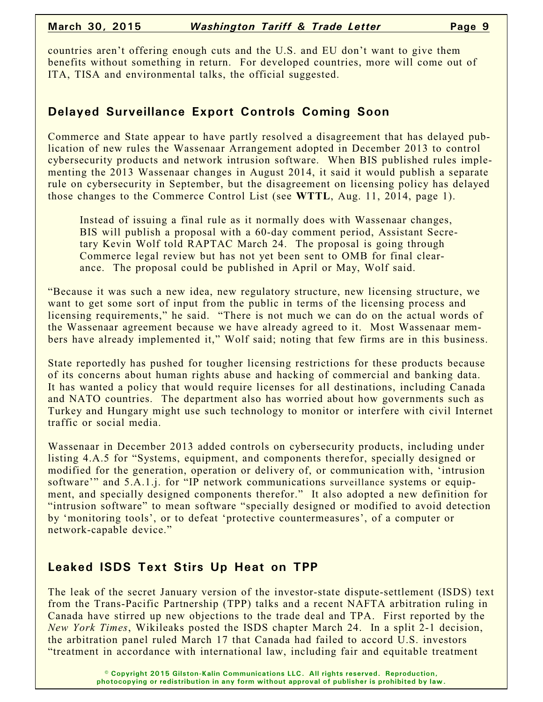countries aren't offering enough cuts and the U.S. and EU don't want to give them benefits without something in return. For developed countries, more will come out of ITA, TISA and environmental talks, the official suggested.

### **Delayed Surveillance Export Controls Coming Soon**

Commerce and State appear to have partly resolved a disagreement that has delayed publication of new rules the Wassenaar Arrangement adopted in December 2013 to control cybersecurity products and network intrusion software. When BIS published rules implementing the 2013 Wassenaar changes in August 2014, it said it would publish a separate rule on cybersecurity in September, but the disagreement on licensing policy has delayed those changes to the Commerce Control List (see **WTTL**, Aug. 11, 2014, page 1).

Instead of issuing a final rule as it normally does with Wassenaar changes, BIS will publish a proposal with a 60-day comment period, Assistant Secretary Kevin Wolf told RAPTAC March 24. The proposal is going through Commerce legal review but has not yet been sent to OMB for final clearance. The proposal could be published in April or May, Wolf said.

"Because it was such a new idea, new regulatory structure, new licensing structure, we want to get some sort of input from the public in terms of the licensing process and licensing requirements," he said. "There is not much we can do on the actual words of the Wassenaar agreement because we have already agreed to it. Most Wassenaar members have already implemented it," Wolf said; noting that few firms are in this business.

State reportedly has pushed for tougher licensing restrictions for these products because of its concerns about human rights abuse and hacking of commercial and banking data. It has wanted a policy that would require licenses for all destinations, including Canada and NATO countries. The department also has worried about how governments such as Turkey and Hungary might use such technology to monitor or interfere with civil Internet traffic or social media.

Wassenaar in December 2013 added controls on cybersecurity products, including under listing 4.A.5 for "Systems, equipment, and components therefor, specially designed or modified for the generation, operation or delivery of, or communication with, 'intrusion software'" and 5.A.1.j. for "IP network communications surveillance systems or equipment, and specially designed components therefor." It also adopted a new definition for "intrusion software" to mean software "specially designed or modified to avoid detection by 'monitoring tools', or to defeat 'protective countermeasures', of a computer or network-capable device."

# **Leaked ISDS Text Stirs Up Heat on TPP**

The leak of the secret January version of the investor-state dispute-settlement (ISDS) text from the Trans-Pacific Partnership (TPP) talks and a recent NAFTA arbitration ruling in Canada have stirred up new objections to the trade deal and TPA. First reported by the *New York Times*, Wikileaks posted the ISDS chapter March 24. In a split 2-1 decision, the arbitration panel ruled March 17 that Canada had failed to accord U.S. investors "treatment in accordance with international law, including fair and equitable treatment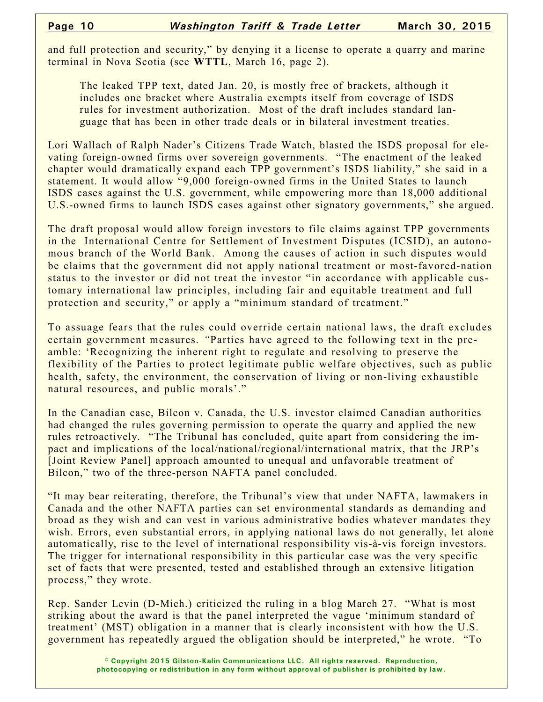and full protection and security," by denying it a license to operate a quarry and marine terminal in Nova Scotia (see **WTTL**, March 16, page 2).

The leaked TPP text, dated Jan. 20, is mostly free of brackets, although it includes one bracket where Australia exempts itself from coverage of ISDS rules for investment authorization. Most of the draft includes standard language that has been in other trade deals or in bilateral investment treaties.

Lori Wallach of Ralph Nader's Citizens Trade Watch, blasted the ISDS proposal for elevating foreign-owned firms over sovereign governments. "The enactment of the leaked chapter would dramatically expand each TPP government's ISDS liability," she said in a statement. It would allow "9,000 foreign-owned firms in the United States to launch ISDS cases against the U.S. government, while empowering more than 18,000 additional U.S.-owned firms to launch ISDS cases against other signatory governments," she argued.

The draft proposal would allow foreign investors to file claims against TPP governments in the International Centre for Settlement of Investment Disputes (ICSID), an autonomous branch of the World Bank. Among the causes of action in such disputes would be claims that the government did not apply national treatment or most-favored-nation status to the investor or did not treat the investor "in accordance with applicable customary international law principles, including fair and equitable treatment and full protection and security," or apply a "minimum standard of treatment."

To assuage fears that the rules could override certain national laws, the draft excludes certain government measures. *"*Parties have agreed to the following text in the preamble: 'Recognizing the inherent right to regulate and resolving to preserve the flexibility of the Parties to protect legitimate public welfare objectives, such as public health, safety, the environment, the conservation of living or non-living exhaustible natural resources, and public morals'."

In the Canadian case, Bilcon v. Canada, the U.S. investor claimed Canadian authorities had changed the rules governing permission to operate the quarry and applied the new rules retroactively. "The Tribunal has concluded, quite apart from considering the impact and implications of the local/national/regional/international matrix, that the JRP's [Joint Review Panel] approach amounted to unequal and unfavorable treatment of Bilcon," two of the three-person NAFTA panel concluded.

"It may bear reiterating, therefore, the Tribunal's view that under NAFTA, lawmakers in Canada and the other NAFTA parties can set environmental standards as demanding and broad as they wish and can vest in various administrative bodies whatever mandates they wish. Errors, even substantial errors, in applying national laws do not generally, let alone automatically, rise to the level of international responsibility vis-à-vis foreign investors. The trigger for international responsibility in this particular case was the very specific set of facts that were presented, tested and established through an extensive litigation process," they wrote.

Rep. Sander Levin (D-Mich.) criticized the ruling in a blog March 27. "What is most striking about the award is that the panel interpreted the vague 'minimum standard of treatment' (MST) obligation in a manner that is clearly inconsistent with how the U.S. government has repeatedly argued the obligation should be interpreted," he wrote. "To

> **© Copyright 2015 Gilston-Kalin Communications LLC. All rights reserved. Reproduction, photocopying or redistribution in any form without approval of publisher is prohibited by law.**